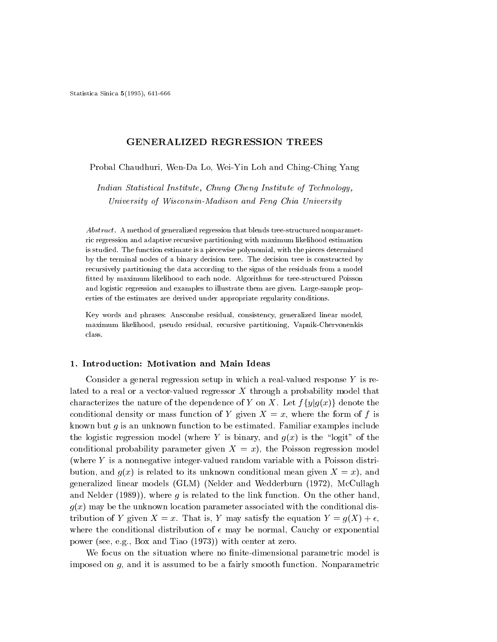Statistica Sinica 5(1995), 641-666

# GENERALIZED REGRESSION TREES

# Probal Chaudhuri, Wen-Da Lo, Wei-Yin Loh and Ching-Ching Yang

Indian Statistical Institute, Chung Cheng Institute of Technology, University of Wisconsin-Madison and Feng Chia University

Abstract. A method of generalized regression that blends tree-structured nonparametric regression and adaptive recursive partitioning with maximum likelihood estimation is studied. The function estimate is a piecewise polynomial, with the pieces determined by the terminal nodes of a binary decision tree. The decision tree is constructed by recursively partitioning the data according to the signs of the residuals from a model tted by maximum likelihood to each node. Algorithms for tree-structured Poisson and logistic regression and examples to illustrate them are given. Large-sample properties of the estimates are derived under appropriate regularity conditions.

Key words and phrases: Anscombe residual, consistency, generalized linear model, maximum likelihood, pseudo residual, recursive partitioning, Vapnik-Chervonenkis class.

# 1. Introduction: Motivation and Main Ideas

Consider a general regression setup in which a real-valued response  $Y$  is related to a real or a vector-valued regressor X through a probability model that characterizes the nature of the dependence of Y on X. Let  $f\{y|g(x)\}\$  denote the conditional density or mass function of Y given  $X = x$ , where the form of f is known but g is an unknown function to be estimated. Familiar examples include the logistic regression model (where Y is binary, and  $g(x)$  is the "logit" of the conditional probability parameter given  $X = x$ ), the Poisson regression model (where Y is a nonnegative integer-valued random variable with a Poisson distribution, and  $g(x)$  is related to its unknown conditional mean given  $X = x$ , and generalized linear models (GLM) (Nelder and Wedderburn (1972), McCullagh and Nelder  $(1989)$ , where g is related to the link function. On the other hand,  $g(x)$  may be the unknown location parameter associated with the conditional distribution of Y given  $X = x$ . That is, Y may satisfy the equation  $Y = g(X) + \epsilon$ , where the conditional distribution of  $\epsilon$  may be normal, Cauchy or exponential power (see, e.g., Box and Tiao (1973)) with center at zero.

We focus on the situation where no finite-dimensional parametric model is imposed on  $g$ , and it is assumed to be a fairly smooth function. Nonparametric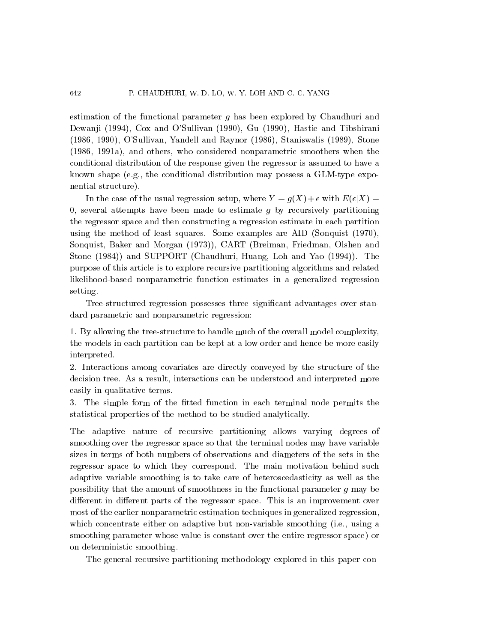estimation of the functional parameter  $q$  has been explored by Chaudhuri and Dewanji (1994), Cox and O'Sullivan (1990), Gu (1990), Hastie and Tibshirani (1986, 1990), O'Sullivan, Yandell and Raynor (1986), Staniswalis (1989), Stone (1986, 1991a), and others, who considered nonparametric smoothers when the conditional distribution of the response given the regressor is assumed to have a known shape (e.g., the conditional distribution may possess a GLM-type exponential structure).

In the case of the usual regression setup, where  $Y = g(X) + \epsilon$  with  $E(\epsilon|X) =$ 0, several attempts have been made to estimate  $g$  by recursively partitioning the regressor space and then constructing a regression estimate in each partition using the method of least squares. Some examples are AID (Sonquist (1970), Sonquist, Baker and Morgan (1973)), CART (Breiman, Friedman, Olshen and Stone (1984)) and SUPPORT (Chaudhuri, Huang, Loh and Yao (1994)). The purpose of this article is to explore recursive partitioning algorithms and related likelihood-based nonparametric function estimates in a generalized regression setting.

Tree-structured regression possesses three signicant advantages over standard parametric and nonparametric regression:

1. By allowing the tree-structure to handle much of the overall model complexity, the models in each partition can be kept at a low order and hence be more easily interpreted.

2. Interactions among covariates are directly conveyed by the structure of the decision tree. As a result, interactions can be understood and interpreted more easily in qualitative terms.

3. The simple form of the fitted function in each terminal node permits the statistical properties of the method to be studied analytically.

The adaptive nature of recursive partitioning allows varying degrees of smoothing over the regressor space so that the terminal nodes may have variable sizes in terms of both numbers of observations and diameters of the sets in the regressor space to which they correspond. The main motivation behind such adaptive variable smoothing is to take care of heteroscedasticity as well as the possibility that the amount of smoothness in the functional parameter g may be different in different parts of the regressor space. This is an improvement over most of the earlier nonparametric estimation techniques in generalized regression, which concentrate either on adaptive but non-variable smoothing (i.e., using a smoothing parameter whose value is constant over the entire regressor space) or on deterministic smoothing.

The general recursive partitioning methodology explored in this paper con-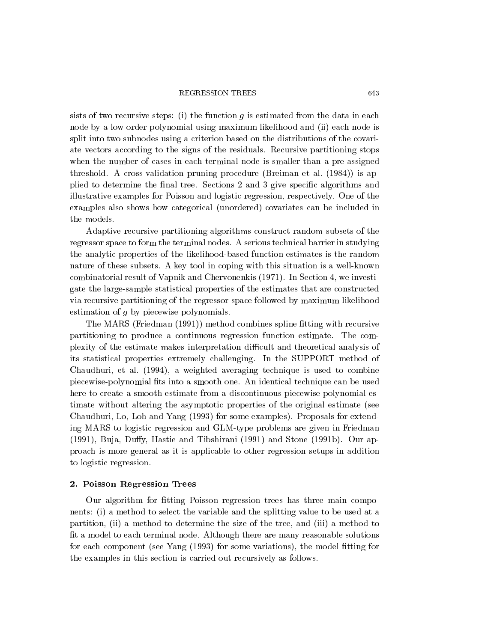#### **REGRESSION TREES**

sists of two recursive steps: (i) the function  $q$  is estimated from the data in each node by a low order polynomial using maximum likelihood and (ii) each node is split into two subnodes using a criterion based on the distributions of the covariate vectors according to the signs of the residuals. Recursive partitioning stops when the number of cases in each terminal node is smaller than a pre-assigned threshold. A cross-validation pruning procedure (Breiman etal: (1984)) is applied to determine the final tree. Sections 2 and 3 give specific algorithms and illustrative examples for Poisson and logistic regression, respectively. One of the examples also shows how categorical (unordered) covariates can be included in the models.

Adaptive recursive partitioning algorithms construct random subsets of the regressor space to form the terminal nodes. A serious technical barrier in studying the analytic properties of the likelihood-based function estimates is the random nature of these subsets. A key tool in coping with this situation is a well-known combinatorial result of Vapnik and Chervonenkis (1971). In Section 4, we investigate the large-sample statistical properties of the estimates that are constructed via recursive partitioning of the regressor space followed by maximum likelihood estimation of g by piecewise polynomials.

The MARS (Friedman (1991)) method combines spline fitting with recursive partitioning to produce a continuous regression function estimate. The complexity of the estimate makes interpretation dicult and theoretical analysis of its statistical properties extremely challenging. In the SUPPORT method of Chaudhuri, et al: (1994), a weighted averaging technique is used to combine piecewise-polynomial ts into a smooth one. An identical technique can be used here to create a smooth estimate from a discontinuous piecewise-polynomial estimate without altering the asymptotic properties of the original estimate (see Chaudhuri, Lo, Loh and Yang (1993) for some examples). Proposals for extending MARS to logistic regression and GLM-type problems are given in Friedman  $(1991)$ , Buja, Duffy, Hastie and Tibshirani  $(1991)$  and Stone  $(1991b)$ . Our approach is more general as it is applicable to other regression setups in addition to logistic regression.

#### 2. Poisson Regression Trees

Our algorithm for fitting Poisson regression trees has three main components: (i) a method to select the variable and the splitting value to be used at a partition, (ii) a method to determine the size of the tree, and (iii) a method to fit a model to each terminal node. Although there are many reasonable solutions for each component (see Yang  $(1993)$  for some variations), the model fitting for the examples in this section is carried out recursively as follows.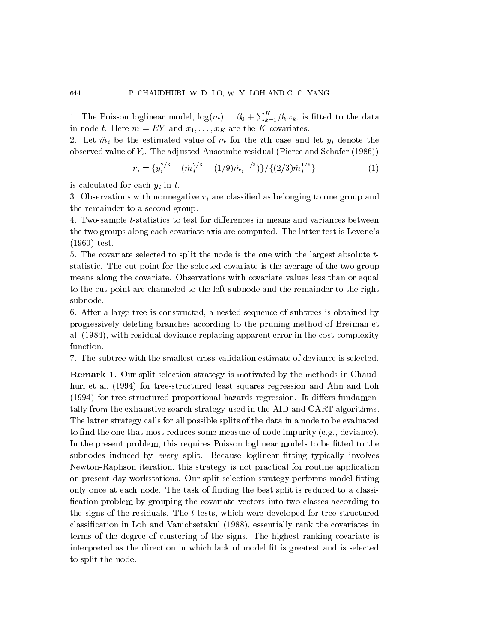1. The Poisson loglinear model,  $\log(m) = \beta_0 + \sum_{k=1}^{K} \beta_k x_k$ , is fitted to the data in node t. Here  $m = EY$  and  $x_1, \ldots, x_K$  are the K covariates.

2. Let  $m_\ell$  be the estimated value of m for the ith case and let  $y_\ell$  denote the i observed value of  $Y_i$ . The adjusted Anscombe residual (Pierce and Schafer (1986))

$$
r_i = \{y_i^{2/3} - (\hat{m}_i^{2/3} - (1/9)\hat{m}_i^{-1/3})\}/\{(2/3)\hat{m}_i^{1/6}\}\tag{1}
$$

is calculated for each  $y_i$  in t.

3. Observations with nonnegative  $r_i$  are classified as belonging to one group and the remainder to a second group.

4. Two-sample t-statistics to test for differences in means and variances between the two groups along each covariate axis are computed. The latter test is Levene's (1960) test.

5. The covariate selected to split the node is the one with the largest absolute t statistic. The cut-point for the selected covariate is the average of the two group means along the covariate. Observations with covariate values less than or equal to the cut-point are channeled to the left subnode and the remainder to the right subnode.

6. After a large tree is constructed, a nested sequence of subtrees is obtained by progressively deleting branches according to the pruning method of Breiman et al: (1984), with residual deviance replacing apparent error in the cost-complexity function.

7. The subtree with the smallest cross-validation estimate of deviance is selected.

Remark 1. Our split selection strategy is motivated by the methods in Chaudhuri et al: (1994) for tree-structured least squares regression and Ahn and Loh (1994) for tree-structured proportional hazards regression. It differs fundamentally from the exhaustive search strategy used in the AID and CART algorithms. The latter strategy calls for all possible splits of the data in a node to be evaluated to find the one that most reduces some measure of node impurity (e.g., deviance). In the present problem, this requires Poisson loglinear models to be fitted to the subnodes induced by every split. Because loglinear fitting typically involves Newton-Raphson iteration, this strategy is not practical for routine application on present-day workstations. Our split selection strategy performs model fitting only once at each node. The task of finding the best split is reduced to a classification problem by grouping the covariate vectors into two classes according to the signs of the residuals. The t-tests, which were developed for tree-structured classication in Loh and Vanichsetakul (1988), essentially rank the covariates in terms of the degree of clustering of the signs. The highest ranking covariate is interpreted as the direction in which lack of model fit is greatest and is selected to split the node.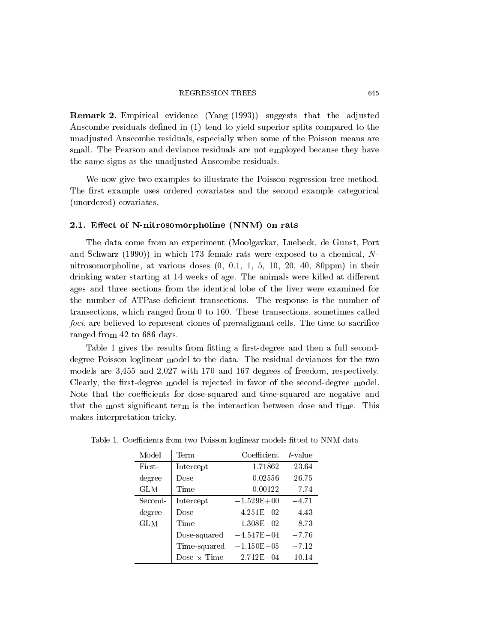Remark 2. Empirical evidence (Yang (1993)) suggests that the adjusted Anscombe residuals defined in  $(1)$  tend to yield superior splits compared to the unadjusted Anscombe residuals, especially when some of the Poisson means are small. The Pearson and deviance residuals are not employed because they have the same signs as the unadjusted Anscombe residuals.

We now give two examples to illustrate the Poisson regression tree method. The first example uses ordered covariates and the second example categorical (unordered) covariates.

### 2.1. Effect of N-nitrosomorpholine (NNM) on rats

The data come from an experiment (Moolgavkar, Luebeck, de Gunst, Port and Schwarz (1990)) in which 173 female rats were exposed to a chemical, N nitrosomorpholine, at various doses (0, 0.1, 1, 5, 10, 20, 40, 80ppm) in their drinking water starting at 14 weeks of age. The animals were killed at different ages and three sections from the identical lobe of the liver were examined for the number of ATPase-deficient transections. The response is the number of transections, which ranged from 0 to 160. These transections, sometimes called foci, are believed to represent clones of premalignant cells. The time to sacrifice ranged from 42 to 686 days.

Table 1 gives the results from fitting a first-degree and then a full seconddegree Poisson loglinear model to the data. The residual deviances for the two models are 3,455 and 2,027 with 170 and 167 degrees of freedom, respectively. Clearly, the first-degree model is rejected in favor of the second-degree model. Note that the coefficients for dose-squared and time-squared are negative and that the most significant term is the interaction between dose and time. This makes interpretation tricky.

| Model      | Term               | Coefficient    | $t$ -value |
|------------|--------------------|----------------|------------|
| First-     | Intercept          | 1.71862        | 23.64      |
| degree     | Dose               | 0.02556        | 26.75      |
| <b>GLM</b> | Time               | 0.00122        | 7.74       |
| Second-    | Intercept          | $-1.529E + 00$ | $-4.71$    |
| degree     | Dose               | $4.251E - 02$  | 4.43       |
| <b>GLM</b> | Time               | $1.308E - 02$  | 8.73       |
|            | Dose-squared       | $-4.547E - 04$ | $-7.76$    |
|            | Time-squared       | $-1.150E - 05$ | $-7.12$    |
|            | Dose $\times$ Time | $2.712E - 04$  | 10.14      |

Table 1. Coefficients from two Poisson loglinear models fitted to NNM data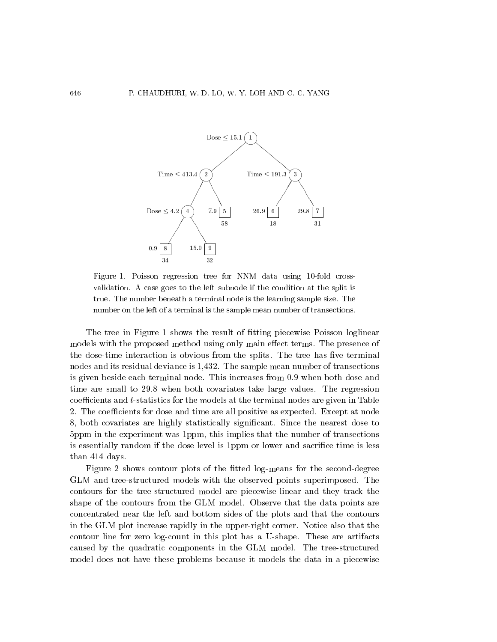

Figure 1. Poisson regression tree for NNM data using 10-fold cross validation. A case goes to the left subnode if the condition at the split is true. The number beneath a terminal node is the learning sample size. The number on the left of a terminal is the sample mean number of transections.

The tree in Figure 1 shows the result of fitting piecewise Poisson loglinear models with the proposed method using only main effect terms. The presence of the dose-time interaction is obvious from the splits. The tree has five terminal nodes and its residual deviance is 1,432. The sample mean number of transections is given beside each terminal node. This increases from 0.9 when both dose and time are small to 29.8 when both covariates take large values. The regression  $coefficients$  and  $t$ -statistics for the models at the terminal nodes are given in Table 2. The coefficients for dose and time are all positive as expected. Except at node 8, both covariates are highly statistically significant. Since the nearest dose to 5ppm in the experiment was 1ppm, this implies that the number of transections is essentially random if the dose level is 1ppm or lower and sacrifice time is less than 414 days.

Figure 2 shows contour plots of the fitted log-means for the second-degree GLM and tree-structured models with the observed points superimposed. The contours for the tree-structured model are piecewise-linear and they track the shape of the contours from the GLM model. Observe that the data points are concentrated near the left and bottom sides of the plots and that the contours in the GLM plot increase rapidly in the upper-right corner. Notice also that the contour line for zero log-count in this plot has a U-shape. These are artifacts caused by the quadratic components in the GLM model. The tree-structured model does not have these problems because it models the data in a piecewise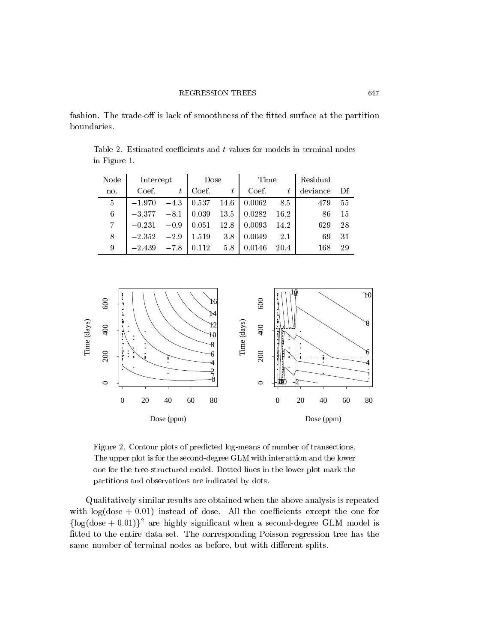fashion. The trade-off is lack of smoothness of the fitted surface at the partition

Table 2. Estimated coefficients and  $t$ -values for models in terminal nodes in Figure 1.

| Node           | Intercept |        | Dose  |      | Time   |         | Residual |    |  |
|----------------|-----------|--------|-------|------|--------|---------|----------|----|--|
| no.            | Coef.     | t      | Coef. | ŧ    | Coef.  |         | deviance | Df |  |
| $\overline{5}$ | $-1.970$  | $-4.3$ | 0.537 | 14.6 | 0.0062 | 8.5     | 479      | 55 |  |
| 6              | $-3.377$  | $-8.1$ | 0.039 | 13.5 | 0.0282 | 16.2    | 86       | 15 |  |
| 7              | $-0.231$  | $-0.9$ | 0.051 | 12.8 | 0.0093 | 14.2    | 629      | 28 |  |
| 8              | $-2.352$  | $-2.9$ | 1.519 | 3.8  | 0.0049 | $2.1\,$ | 69       | 31 |  |
| 9              | $-2.439$  | $-7.8$ | 0.112 | 5.8  | 0.0146 | 20.4    | 168      | 29 |  |



Figure 2. Contour plots of predicted log-means of number of transections. The upper plot is for the second-degree GLM with interaction and the lower one for the tree-structured model. Dotted lines in the lower plot mark the partitions and observations are indicated by dots.

Qualitatively similar results are obtained when the above analysis is repeated with  $log(dose + 0.01)$  instead of dose. All the coefficients except the one for  $\{\log(\text{dose} + 0.01)\}^2$  are highly significant when a second-degree GLM model is fitted to the entire data set. The corresponding Poisson regression tree has the same number of terminal nodes as before, but with different splits.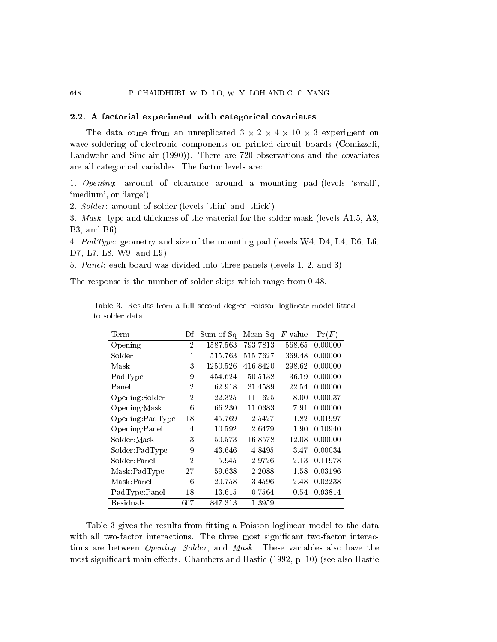#### 2.2. A factorial experiment with categorical covariates

The data come from an unreplicated  $3 \times 2 \times 4 \times 10 \times 3$  experiment on wave-soldering of electronic components on printed circuit boards (Comizzoli, Landwehr and Sinclair (1990)). There are 720 observations and the covariates are all categorical variables. The factor levels are:

1. Opening: amount of clearance around a mounting pad (levels 'small', `medium', or `large')

2. Solder: amount of solder (levels 'thin' and 'thick')

3. Mask: type and thickness of the material for the solder mask (levels A1.5, A3, B3, and B6)

4. PadType: geometry and size of the mounting pad (levels W4, D4, L4, D6, L6, D7, L7, L8, W9, and L9)

5. Panel: each board was divided into three panels (levels 1, 2, and 3)

The response is the number of solder skips which range from 0-48.

|                |  |  |  | Table 3. Results from a full second-degree Poisson loglinear model fitted |  |  |
|----------------|--|--|--|---------------------------------------------------------------------------|--|--|
| to solder data |  |  |  |                                                                           |  |  |

| Term             | Df             | Sum of Sq | Mean Sq   | <i>F</i> -value | Pr(F)   |
|------------------|----------------|-----------|-----------|-----------------|---------|
| Opening          | 2              | 1587.563  | 793.7813  | 568.65          | 0.00000 |
| Solder           | 1              | 515.763   | 515.7627  | 369.48          | 0.00000 |
| Mask             | 3              | 1250.526  | 416.8420  | 298.62          | 0.00000 |
| PadType          | 9              | 454.624   | 50.5138   | 36.19           | 0.00000 |
| Panel            | $\overline{2}$ | 62.918    | 31.4589   | 22.54           | 0.00000 |
| Opening:Solder   | $\overline{2}$ | 22.325    | 11.1625   | 8.00            | 0.00037 |
| Opening: Mask    | 6              | 66.230    | 11.0383   | 7.91            | 0.00000 |
| Opening: PadType | 18             | 45.769    | 2.5427    | 1.82            | 0.01997 |
| Opening: Panel   | 4              | 10.592    | 2.6479    | 1.90            | 0.10940 |
| Solder: Mask     | 3              | 50.573    | 16.8578   | 12.08           | 0.00000 |
| Solder:PadType   | 9              | 43.646    | 4.8495    | 3.47            | 0.00034 |
| Solder:Panel     | $\overline{2}$ | 5.945     | 2.9726    | 2.13            | 0.11978 |
| Mask:PadType     | 27             | 59.638    | 2.2088    | 1.58            | 0.03196 |
| Mask:Panel       | 6              | 20.758    | 3 4 5 9 6 | 2.48            | 0.02238 |
| PadType:Panel    | 18             | 13.615    | 0.7564    | 0.54            | 0.93814 |
| Residuals        | 607            | 847.313   | 1.3959    |                 |         |

Table 3 gives the results from fitting a Poisson loglinear model to the data with all two-factor interactions. The three most significant two-factor interactions are between Opening, Solder, and Mask. These variables also have the most significant main effects. Chambers and Hastie (1992, p. 10) (see also Hastie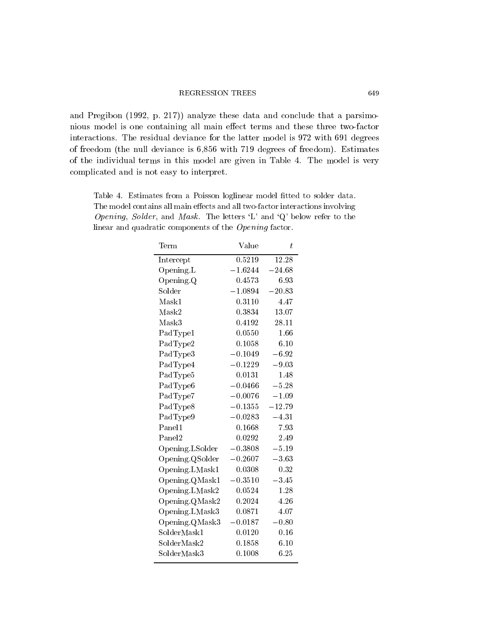### REGRESSION TREES 649

and Pregibon (1992, p. 217)) analyze these data and conclude that a parsimonious model is one containing all main effect terms and these three two-factor interactions. The residual deviance for the latter model is 972 with 691 degrees of freedom (the null deviance is 6,856 with 719 degrees of freedom). Estimates of the individual terms in this model are given in Table 4. The model is very complicated and is not easy to interpret.

Table 4. Estimates from a Poisson loglinear model fitted to solder data. The model contains all main effects and all two-factor interactions involving Opening, Solder, and Mask. The letters  $'L'$  and  $'Q'$  below refer to the linear and quadratic components of the Opening factor.

| $\mathrm{Term}$    | Value     | $t\,$    |  |
|--------------------|-----------|----------|--|
| Intercept          | 0.5219    | 12.28    |  |
| Opening.L          | $-1.6244$ | $-24.68$ |  |
| Opening. Q         | 0.4573    | 6.93     |  |
| Solder             | $-1.0894$ | $-20.83$ |  |
| Mask1              | 0.3110    | 4.47     |  |
| Mask2              | 0.3834    | 13.07    |  |
| Mask3              | 0.4192    | 28.11    |  |
| PadType1           | 0.0550    | 1.66     |  |
| PadType2           | 0.1058    | 6.10     |  |
| PadType3           | $-0.1049$ | $-6.92$  |  |
| PadType4           | $-0.1229$ | $-9.03$  |  |
| PadType5           | 0.0131    | 1.48     |  |
| PadType6           | $-0.0466$ | $-5.28$  |  |
| PadType7           | $-0.0076$ | $-1.09$  |  |
| PadType8           | $-0.1355$ | $-12.79$ |  |
| PadType9           | $-0.0283$ | $-4.31$  |  |
| Panel1             | 0.1668    | 7.93     |  |
| Panel <sub>2</sub> | 0.0292    | 2.49     |  |
| Opening. LSolder   | $-0.3808$ | $-5.19$  |  |
| Opening QSolder    | $-0.2607$ | $-3.63$  |  |
| Opening. LMask1    | 0.0308    | 0.32     |  |
| Opening. QMask1    | $-0.3510$ | $-3.45$  |  |
| Opening. LMask2    | 0.0524    | 1.28     |  |
| Opening. QMask2    | 0.2024    | 4.26     |  |
| Opening.LMask3     | 0.0871    | 4.07     |  |
| Opening QMask3     | $-0.0187$ | $-0.80$  |  |
| SolderMask1        | 0.0120    | 0.16     |  |
| SolderMask2        | 0.1858    | 6.10     |  |
| SolderMask3        | 0.1008    | 6.25     |  |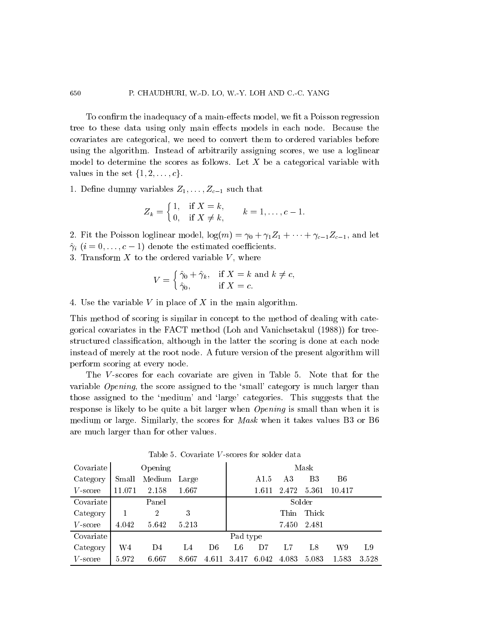To confirm the inadequacy of a main-effects model, we fit a Poisson regression tree to these data using only main effects models in each node. Because the covariates are categorical, we need to convert them to ordered variables before using the algorithm. Instead of arbitrarily assigning scores, we use a loglinear model to determine the scores as follows. Let  $X$  be a categorical variable with values in the set  $\{1, 2, \ldots, c\}.$ 

1. Define dummy variables  $Z_1, \ldots, Z_{c-1}$  such that

$$
Z_k = \begin{cases} 1, & \text{if } X = k, \\ 0, & \text{if } X \neq k, \end{cases} \qquad k = 1, \ldots, c-1.
$$

- 2. Fit the Poisson loglinear model,  $log(m) = \gamma_0 + \gamma_1 Z_1 + \cdots + \gamma_{c-1} Z_{c-1}$ , and let
- $\hat{\gamma}_i$   $(i = 0,\ldots,c 1)$  denote the estimated coefficients.

3. Transform  $X$  to the ordered variable  $V$ , where

$$
V = \begin{cases} \hat{\gamma}_0 + \hat{\gamma}_k, & \text{if } X = k \text{ and } k \neq c, \\ \hat{\gamma}_0, & \text{if } X = c. \end{cases}
$$

4. Use the variable  $V$  in place of  $X$  in the main algorithm.

This method of scoring is similar in concept to the method of dealing with categorical covariates in the FACT method (Loh and Vanichsetakul (1988)) for treestructured classication, although in the latter the scoring is done at each node instead of merely at the root node. A future version of the present algorithm will perform scoring at every node.

The V-scores for each covariate are given in Table 5. Note that for the variable *Opening*, the score assigned to the 'small' category is much larger than those assigned to the `medium' and `large' categories. This suggests that the response is likely to be quite a bit larger when *Opening* is small than when it is medium or large. Similarly, the scores for *Mask* when it takes values B3 or B6 are much larger than for other values.

| Covariate  |        | Opening        |       |       |          |       |       | Mask        |        |      |
|------------|--------|----------------|-------|-------|----------|-------|-------|-------------|--------|------|
| Category   | Small  | Medium         | Large |       |          | A1.5  | A3    | B3          | B6     |      |
| $V$ -score | 11.071 | 2.158          | 1.667 |       |          | 1.611 | 2.472 | 5.361       | 10.417 |      |
| Covariate  |        | Panel          |       |       |          |       |       | Solder      |        |      |
| Category   |        | $\overline{2}$ | 3     |       |          |       | Thin  | Thick       |        |      |
| $V$ -score | 4.042  | 5.642          | 5.213 |       |          |       |       | 7.450 2.481 |        |      |
| Covariate  |        |                |       |       | Pad type |       |       |             |        |      |
| Category   | W4     | D <sub>4</sub> | L4    | D6    | L6       | D7    | L7    | Ι.8         | W9     | L9.  |
| $V$ -score | 5.972  | 6.667          | 8.667 | 4.611 | 3.417    | 6.042 | 4.083 | 5.083       | 1.583  | 3528 |

Table 5. Covariate <sup>V</sup> -scores for solder data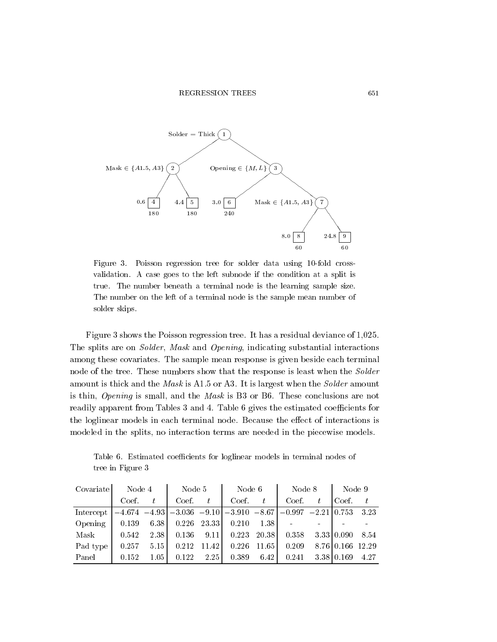

Figure 3. Poisson regression tree for solder data using 10-fold cross validation. A case goes to the left subnode if the condition at a split is true. The number beneath a terminal node is the learning sample size. The number on the left of a terminal node is the sample mean number of solder skips.

Figure 3 shows the Poisson regression tree. It has a residual deviance of 1,025. The splits are on Solder, Mask and Opening, indicating substantial interactions among these covariates. The sample mean response is given beside each terminal node of the tree. These numbers show that the response is least when the Solder amount is thick and the Mask is A1.5 or A3. It is largest when the Solder amount is thin, Opening is small, and the Mask is B3 or B6. These conclusions are not readily apparent from Tables 3 and 4. Table 6 gives the estimated coefficients for the loglinear models in each terminal node. Because the effect of interactions is modeled in the splits, no interaction terms are needed in the piecewise models.

Table 6. Estimated coefficients for loglinear models in terminal nodes of tree in Figure 3

| Covariate | Node 4 |      | Node 5        |                | Node 6                                                                    |               | Node 8 | Node 9           |      |
|-----------|--------|------|---------------|----------------|---------------------------------------------------------------------------|---------------|--------|------------------|------|
|           | Coef.  | t    | Coef.         | t              | Coef.                                                                     | t.            | Coef.  | Coef.            |      |
| Intercept |        |      |               |                | $-4.674$ $-4.93$ $-3.036$ $-9.10$ $-3.910$ $-8.67$ $-0.997$ $-2.21$ 0.753 |               |        |                  | 3.23 |
| Opening   | 0.139  | 6.38 | $0.226$ 23.33 |                | 0.210                                                                     | 1.38          |        |                  |      |
| Mask      | 0.542  | 2.38 |               | $0.136$ $9.11$ |                                                                           | $0.223$ 20.38 | 0.358  | 3.33 0.090       | 8.54 |
| Pad type  | 0.257  | 5.15 | 0.212         | 11.42          | 0.226                                                                     | 11.65         | 0.209  | 8.76 0.166 12.29 |      |
| Panel     | 0.152  | 1.05 | 0.122         | 2.25           | 0.389                                                                     | 6.42          | 0.241  | 3 38 0 169       | 4.27 |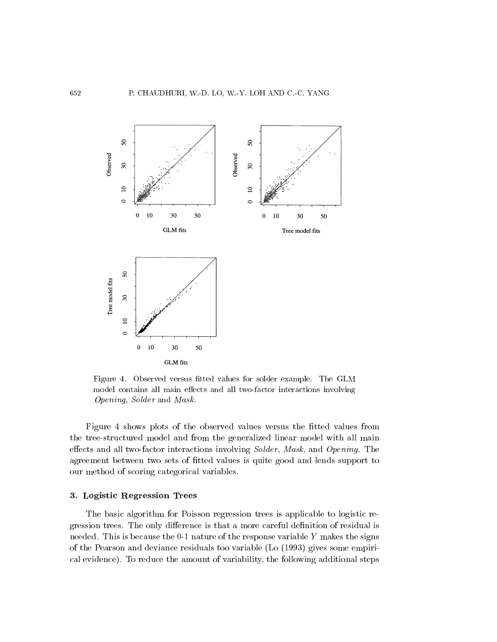

Figure 4. Observed versus fitted values for solder example. The GLM model contains all main effects and all two-factor interactions involving Opening, Solder and Mask.

Figure 4 shows plots of the observed values versus the fitted values from the tree-structured model and from the generalized linear model with all main effects and all two-factor interactions involving Solder, Mask, and Opening. The agreement between two sets of fitted values is quite good and lends support to our method of scoring categorical variables.

# 3. Logistic Regression Trees

The basic algorithm for Poisson regression trees is applicable to logistic regression trees. The only difference is that a more careful definition of residual is needed. This is because the 0-1 nature of the response variable  $Y$  makes the signs of the Pearson and deviance residuals too variable (Lo (1993) gives some empirical evidence). To reduce the amount of variability, the following additional steps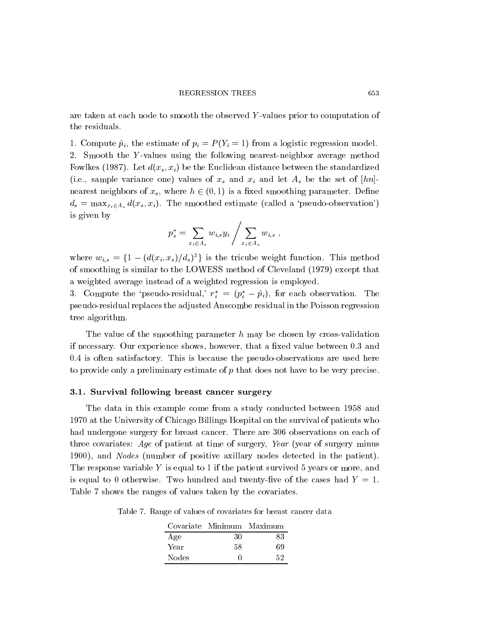are taken at each node to smooth the observed Y -values prior to computation of the residuals.

1. Compute  $\hat{p}_i$ , the estimate of  $p_i = P (Y_i = 1)$  from a logistic regression model. 2. Smooth the Y-values using the following nearest-neighbor average method Fowlkes (1987). Let  $d(x_s, x_i)$  be the Euclidean distance between the standardized (i.e., sample variance one) values of  $x_s$  and  $x_i$  and let  $A_s$  be the set of  $[hn]$ nearest neighbors of  $x_s$ , where  $h \in (0, 1)$  is a fixed smoothing parameter. Define  $d_s = \max_{x_i \in A_s} d(x_s, x_i)$ . The smoothed estimate (called a 'pseudo-observation') is given by

$$
p_s^* = \sum_{x_i \in A_s} w_{i,s} y_i / \sum_{x_i \in A_s} w_{i,s} ,
$$

where  $w_{i,s} = \{1 - (d(x_i, x_s)/d_s)^3\}$  is the tricube weight function. This method of smoothing is similar to the LOWESS method of Cleveland (1979) except that a weighted average instead of a weighted regression is employed.

3. Compute the 'pseudo-residual,'  $r_i^* = (p_i^* - \hat{p}_i)$ , for each observation. The pseudo-residual replaces the adjusted Anscombe residual in the Poisson regression tree algorithm.

The value of the smoothing parameter  $h$  may be chosen by cross-validation if necessary. Our experience shows, however, that a fixed value between 0.3 and 0.4 is often satisfactory. This is because the pseudo-observations are used here to provide only a preliminary estimate of  $p$  that does not have to be very precise.

## 3.1. Survival following breast cancer surgery

The data in this example come from a study conducted between 1958 and 1970 at the University of Chicago Billings Hospital on the survival of patients who had undergone surgery for breast cancer. There are 306 observations on each of three covariates: Age of patient at time of surgery, Year (year of surgery minus 1900), and Nodes (number of positive axillary nodes detected in the patient). The response variable  $Y$  is equal to 1 if the patient survived 5 years or more, and is equal to 0 otherwise. Two hundred and twenty-five of the cases had  $Y = 1$ . Table 7 shows the ranges of values taken by the covariates.

Table 7. Range of values of covariates for breast cancer data

|              | Covariate Minimum Maximum |    |
|--------------|---------------------------|----|
| Age          | 30                        | 83 |
| Year         | 58                        | 69 |
| <b>Nodes</b> |                           | 52 |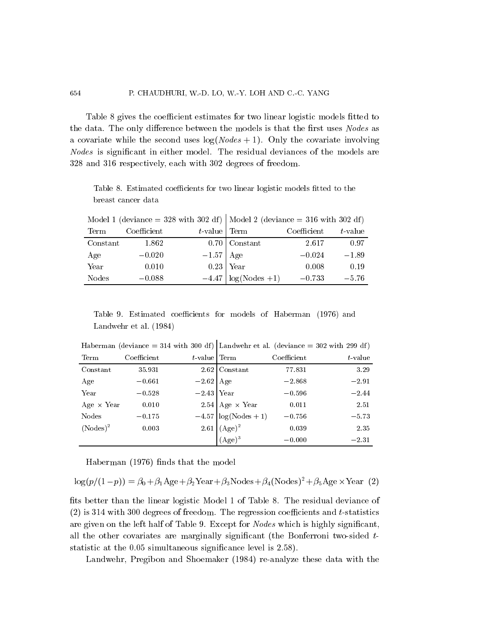Table 8 gives the coefficient estimates for two linear logistic models fitted to the data. The only difference between the models is that the first uses Nodes as a covariate while the second uses  $log(Nodes + 1)$ . Only the covariate involving Nodes is signicant in either model. The residual deviances of the models are 328 and 316 respectively, each with 302 degrees of freedom.

Table 8. Estimated coefficients for two linear logistic models fitted to the breast cancer data

|          |             |                 | $\frac{1}{2}$ in the state of $\frac{1}{2}$ and $\frac{1}{2}$ in the state of $\frac{1}{2}$ (deviance $\frac{1}{2}$ or $\frac{1}{2}$ and $\frac{1}{2}$ and $\frac{1}{2}$ and $\frac{1}{2}$ and $\frac{1}{2}$ and $\frac{1}{2}$ and $\frac{1}{2}$ and $\frac{1}{2}$ and $\frac{1}{2}$ |                              |            |
|----------|-------------|-----------------|--------------------------------------------------------------------------------------------------------------------------------------------------------------------------------------------------------------------------------------------------------------------------------------|------------------------------|------------|
| Term     | Coefficient | $t$ -value Term |                                                                                                                                                                                                                                                                                      | $\operatorname{Coefficient}$ | $t$ -value |
| Constant | 1.862       |                 | $0.70$ Constant                                                                                                                                                                                                                                                                      | 2.617                        | 0.97       |
| Age      | $-0.020$    | $-1.57$ Age     |                                                                                                                                                                                                                                                                                      | $-0.024$                     | $-1.89$    |
| Year     | 0.010       |                 | $0.23$ Year                                                                                                                                                                                                                                                                          | 0.008                        | 0.19       |
| Nodes    | $-0.088$    |                 | $-4.47 \log(Nodes +1)$                                                                                                                                                                                                                                                               | $-0.733$                     | $-5.76$    |

Model 1 (deviance = 328 with 302 df) Model 2 (deviance = 316 with 302 df)

Table 9. Estimated coefficients for models of Haberman (1976) and Landwehr et al: (1984)

| Term               | Coefficient | $t$ -value Term                                                            |                                                                                              | Coefficient | $t$ -value |
|--------------------|-------------|----------------------------------------------------------------------------|----------------------------------------------------------------------------------------------|-------------|------------|
| Constant           | 35.931      |                                                                            | $2.62$ Constant                                                                              | 77.831      | 3.29       |
| Age                | $-0.661$    | $\begin{array}{r l} -2.62 & \text{Age} \\ -2.43 & \text{Year} \end{array}$ |                                                                                              | $-2.868$    | $-2.91$    |
| Year               | $-0.528$    |                                                                            |                                                                                              | $-0.596$    | $-2.44$    |
| Age $\times$ Year  | 0.010       |                                                                            | 2.54 Age $\times$ Year<br>-4.57 log(Nodes + 1)<br>2.61 (Age) <sup>2</sup> (Age) <sup>3</sup> | 0.011       | 2.51       |
| Nodes              | $-0.175$    |                                                                            |                                                                                              | $-0.756$    | $-5.73$    |
| $(\text{Nodes})^2$ | 0.003       |                                                                            |                                                                                              | 0.039       | 2.35       |
|                    |             |                                                                            |                                                                                              | $-0.000$    | $-2.31$    |

Haberman (deviance = 314 with 300 df) Landwehr et al. (deviance = 302 with 299 df)

Haberman (1976) finds that the model

$$
\log(p/(1-p)) = \beta_0 + \beta_1 \text{Age} + \beta_2 \text{Year} + \beta_3 \text{Nodes} + \beta_4 (\text{Nodes})^2 + \beta_5 \text{Age} \times \text{Year} (2)
$$

fits better than the linear logistic Model 1 of Table 8. The residual deviance of  $(2)$  is 314 with 300 degrees of freedom. The regression coefficients and t-statistics are given on the left half of Table 9. Except for Nodes which is highly signicant, all the other covariates are marginally significant (the Bonferroni two-sided  $t$ statistic at the 0.05 simultaneous signicance level is 2.58).

Landwehr, Pregibon and Shoemaker (1984) re-analyze these data with the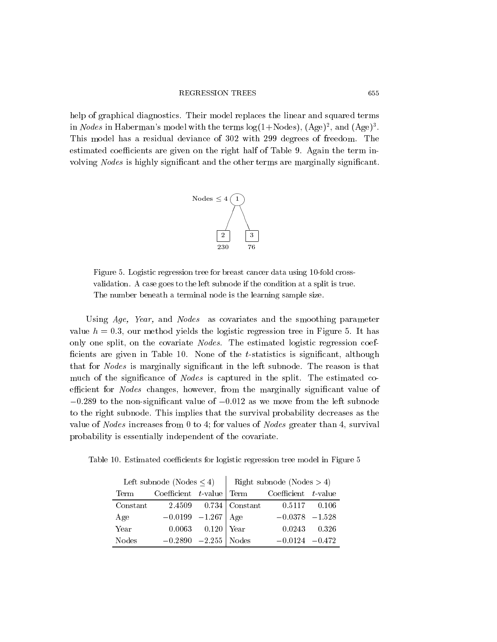help of graphical diagnostics. Their model replaces the linear and squared terms in Nodes in Haberman's model with the terms  $log(1 + Nodes)$ ,  $(Age)^2$ , and  $(Age)^3$ . This model has a residual deviance of 302 with 299 degrees of freedom. The estimated coefficients are given on the right half of Table 9. Again the term involving Nodes is highly signicant and the other terms are marginally signicant.



Figure 5. Logistic regression tree for breast cancer data using 10-fold cross validation. A case goes to the left subnode if the condition at a split is true. The number beneath a terminal node is the learning sample size.

Using Age, Year, and Nodes as covariates and the smoothing parameter value  $h = 0.3$ , our method yields the logistic regression tree in Figure 5. It has only one split, on the covariate Nodes. The estimated logistic regression coef ficients are given in Table 10. None of the  $t$ -statistics is significant, although that for Nodes is marginally signicant in the left subnode. The reason is that much of the significance of *Nodes* is captured in the split. The estimated coefficient for *Nodes* changes, however, from the marginally significant value of  $-0.289$  to the non-significant value of  $-0.012$  as we move from the left subnode to the right subnode. This implies that the survival probability decreases as the value of Nodes increases from 0 to 4; for values of Nodes greater than 4, survival probability is essentially independent of the covariate.

Table 10. Estimated coefficients for logistic regression tree model in Figure 5

| Left subnode (Nodes $\leq 4$ )   Right subnode (Nodes > 4) |                        |                   |                                                    |       |
|------------------------------------------------------------|------------------------|-------------------|----------------------------------------------------|-------|
| Term                                                       |                        |                   | Coefficient $t$ -value Term Coefficient $t$ -value |       |
| Constant                                                   |                        |                   | 2.4509 0.734   Constant 0.5117 0.106               |       |
| Age                                                        | $-0.0199$ $-1.267$ Age |                   | $-0.0378$ $-1.528$                                 |       |
| Year                                                       |                        | 0.0063 0.120 Year | 0.0243                                             | 0.326 |
| <b>Nodes</b>                                               | $-0.2890 -2.255$ Nodes |                   | $-0.0124 - 0.472$                                  |       |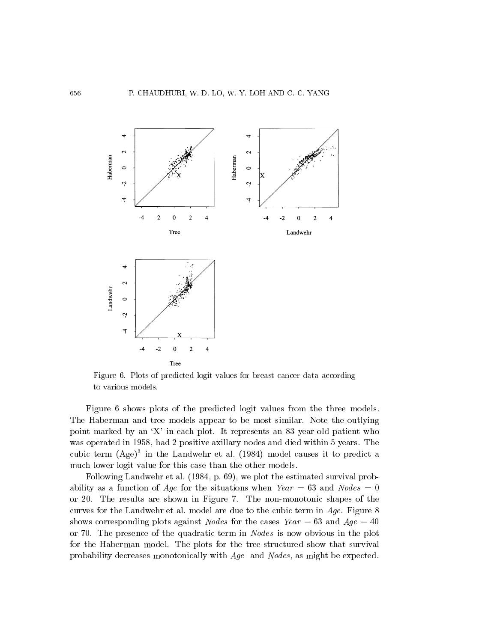

Figure 6. Plots of predicted logit values for breast cancer data according to various models.

Figure 6 shows plots of the predicted logit values from the three models. The Haberman and tree models appear to be most similar. Note the outlying point marked by an `X' in each plot. It represents an 83 year-old patient who was operated in 1958, had 2 positive axillary nodes and died within 5 years. The cubic term (Age)<sup>-</sup> in the Landwehr et al. (1984) model causes it to predict a much lower logit value for this case than the other models.

Following Landwehr et al: (1984, p: 69), we plot the estimated survival probability as a function of Age for the situations when  $Year = 63$  and  $Nodes = 0$ or 20. The results are shown in Figure 7.The non-monotonic shapes of the curves for the Landwehr et al. model are due to the cubic term in Age. Figure 8 shows corresponding plots against *Nodes* for the cases  $Year = 63$  and  $Age = 40$ or 70. The presence of the quadratic term in Nodes is now obvious in the plot for the Haberman model. The plots for the tree-structured show that survival probability decreases monotonically with Age and Nodes, as might be expected.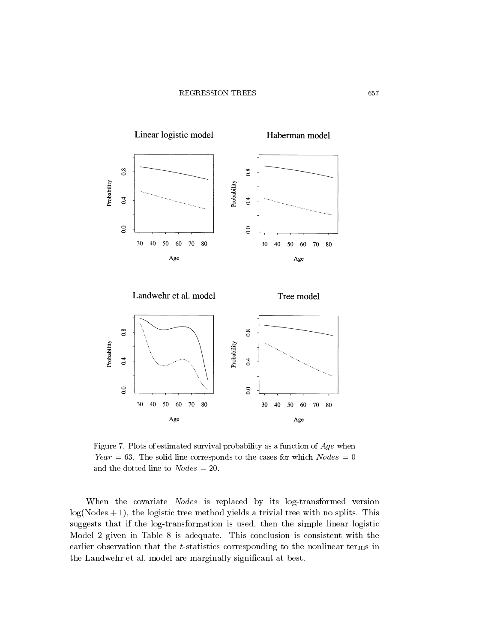

Figure 7. Plots of estimated survival probability as a function of  $Age$  when Year = 63. The solid line corresponds to the cases for which  $Nodes = 0$ and the dotted line to  $Nodes = 20$ .

When the covariate Nodes is replaced by its log-transformed version  $log(Nodes + 1)$ , the logistic tree method yields a trivial tree with no splits. This suggests that if the log-transformation isused, then the simple linear logistic Model 2 given in Table 8 is adequate. This conclusion is consistent with the earlier observation that the *t*-statistics corresponding to the nonlinear terms in the Landwehr et al. model are marginally signicant at best.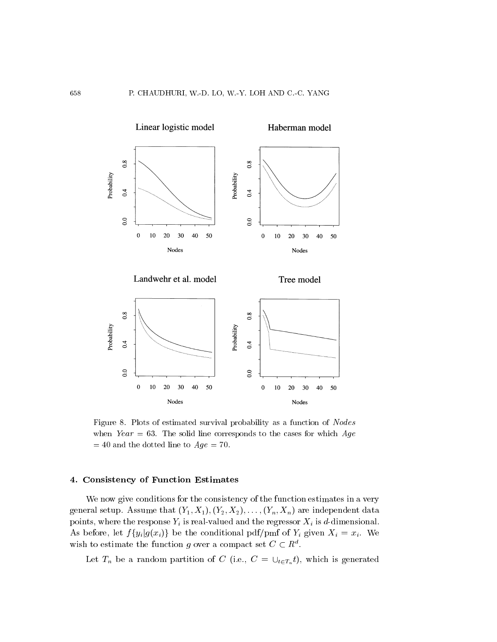

Figure 8. Plots of estimated survival probability as a function of Nodes when Year = 63. The solid line corresponds to the cases for which  $Age$  $= 40$  and the dotted line to  $Age = 70$ .

# 4. Consistency of Function Estimates

We now give conditions for the consistency of the function estimates in a very general setup. Assume that  $(Y_1, X_1), (Y_2, X_2), \ldots, (Y_n, X_n)$  are independent data points, where the response  $Y_i$  is real-valued and the regressor  $X_i$  is d-dimensional. As before, let  $f\{y_i|g(x_i)\}\)$  be the conditional pdf/pmf of  $Y_i$  given  $X_i = x_i$ . We wish to estimate the function q over a compact set  $C \subset R^d$ .

Let  $T_n$  be a random partition of C (i.e.,  $C = \bigcup_{t \in T_n} t$ ), which is generated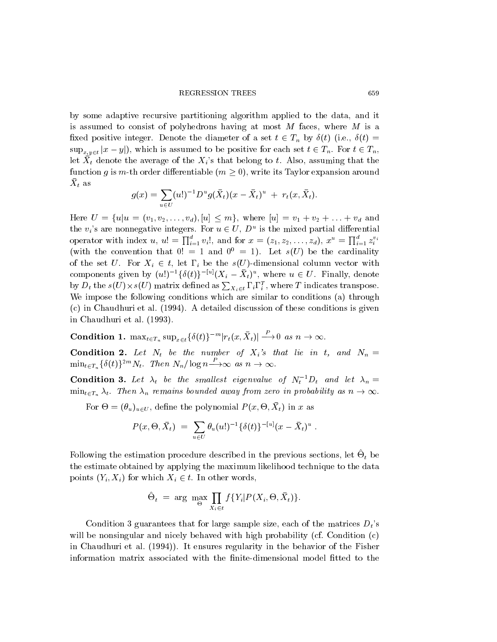by some adaptive recursive partitioning algorithm applied to the data, and it is assumed to consist of polyhedrons having at most M faces, where M is a fixed positive integer. Denote the diameter of a set  $t \in T_n$  by  $\delta(t)$  (i.e.,  $\delta(t)$ )  $\sup_{x,y\in t}|x-y|$ , which is assumed to be positive for each set  $t\in T_n$ . For  $t\in T_n$ , let  $X_t$  denote the average of the  $X_i$ 's that belong to t. Also, assuming that the function g is m-th order differentiable  $(m \geq 0)$ , write its Taylor expansion around  $\Delta t$  as

$$
g(x) = \sum_{u \in U} (u!)^{-1} D^u g(\bar{X}_t) (x - \bar{X}_t)^u + r_t(x, \bar{X}_t).
$$

Here  $U = \{u | u = (v_1, v_2, \ldots, v_d), [u] \leq m\}$ , where  $[u] = v_1 + v_2 + \ldots + v_d$  and the  $v_i$ 's are nonnegative integers. For  $u \in U$ ,  $D^u$  is the mixed partial differential operator with index  $u, u' = \prod_{i=1}^a v_i'$ , and for  $x = (z_1, z_2, \ldots, z_d)$ ,  $x^u = \prod_{i=1}^a z_i^{v_i}$ (with the convention that  $0! = 1$  and  $0^0 = 1$ ). Let  $s(U)$  be the cardinality of the set U. For  $X_i \in t$ , let  $\Gamma_i$  be the s(U)-dimensional column vector with components given by  $(u!)^{-1} {\delta(t)}^{-|u|} (X_i - X_t)^u$ , where  $u \in U$ . Finally, denote by  $D_t$  the  $s(U)\times s(U)$  matrix defined as  $\sum_{X_i\in t}\Gamma_i\Gamma_i^T$ , where T indicates transpose. We impose the following conditions which are similar to conditions (a) through (c) in Chaudhuri et al: (1994). A detailed discussion of these conditions is given in Chaudhuri et al: (1993).

**Condition 1.**  $\max_{t \in T_n} \sup_{x \in t} {\{\delta(t)\}}^{-m} |r_t(x, X_t)| \longrightarrow 0$  as  $n \to \infty$ .

**Condition 2.** Let  $N_t$  be the number of  $X_i$ 's that lie in t, and  $N_n =$  $\min_{t \in T_n} {\{\delta(t)\}^{2m} N_t}$ . Then  $N_n/\log n \longrightarrow \infty$  as  $n \to \infty$ 

 $\min_{t \in T_n} \{\delta(t)\}^{2m} N_t$ . Then  $N_n / \log n \longrightarrow \infty$  as  $n \to \infty$ .<br> **Condition 3.** Let  $\lambda_t$  be the smallest eigenvalue of  $N_t^{-1} D_t$  and let  $\lambda_n =$  $\min_{t \in T_n} \lambda_t$ . Then  $\lambda_n$  remains bounded away from zero in probability as  $n \to \infty$ .

For  $\Theta = (\theta_u)_{u \in U}$ , define the polynomial  $T(x, \Theta, \Lambda_t)$  in x as

$$
P(x,\Theta,\bar{X}_t) = \sum_{u \in U} \theta_u(u!)^{-1} \{ \delta(t) \}^{-[u]} (x-\bar{X}_t)^u .
$$

Following the estimation procedure described in the previous sections, let  $O_t$  be the estimate obtained by applying the maximum likelihood technique to the data points  $(Y_i, X_i)$  for which  $X_i \in t$ . In other words,

$$
\hat{\Theta}_t = \arg \max_{\Theta} \prod_{X_i \in t} f\{Y_i | P(X_i, \Theta, \bar{X}_t)\}.
$$

Condition 3 guarantees that for large sample size, each of the matrices  $D_t$ 's will be nonsingular and nicely behaved with high probability (cf. Condition (c) in Chaudhuri et al: (1994)). It ensures regularity in the behavior of the Fisher information matrix associated with the finite-dimensional model fitted to the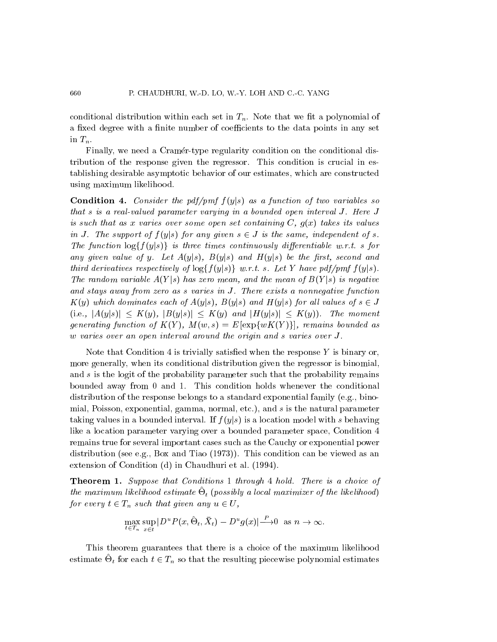conditional distribution within each set in  $T_n$ . Note that we fit a polynomial of a fixed degree with a finite number of coefficients to the data points in any set in  $T_n$ .

Finally, we need a Cramer-type regularity condition on the conditional distribution of the response given the regressor. This condition is crucial in establishing desirable asymptotic behavior of our estimates, which are constructed using maximum likelihood.

**Condition 4.** Consider the pdf/pmf  $f(y|s)$  as a function of two variables so that s is a real-valued parameter varying in a bounded open interval J. Here J is such that as x varies over some open set containing  $C, g(x)$  takes its values in J. The support of  $f(y|s)$  for any given  $s \in J$  is the same, independent of s. The function  $\log\{f(y|s)\}\$  is three times continuously differentiable w.r.t. s for any given value of y. Let  $A(y|s)$ ,  $B(y|s)$  and  $H(y|s)$  be the first, second and third derivatives respectively of  $\log\{f(y|s)\}\; w.r.t. \; s.$  Let Y have pdf/pmf  $f(y|s)$ . The random variable  $A(Y|s)$  has zero mean, and the mean of  $B(Y|s)$  is negative and stays away from zero as s varies in J. There exists a nonnegative function  $K(y)$  which dominates each of  $A(y|s)$ ,  $B(y|s)$  and  $H(y|s)$  for all values of  $s \in J$  $(i.e., |A(y|s)| \leq K(y), |B(y|s)| \leq K(y)$  and  $|H(y|s)| \leq K(y)$ . The moment generating function of  $K(Y)$ ,  $M(w, s) = E[\exp\{wK(Y)\}]$ , remains bounded as w varies over an open interval around the origin and s varies over J.

Note that Condition 4 is trivially satisfied when the response  $Y$  is binary or, more generally, when its conditional distribution given the regressor is binomial, and s is the logit of the probability parameter such that the probability remains bounded away from 0 and 1. This condition holds whenever the conditional distribution of the response belongs to a standard exponential family (e.g., binomial, Poisson, exponential, gamma, normal, etc.), and s is the natural parameter taking values in a bounded interval. If  $f(y|s)$  is a location model with s behaving like a location parameter varying over a bounded parameter space, Condition 4 remains true for several important cases such as the Cauchy or exponential power distribution (see e.g., Box and Tiao (1973)). This condition can be viewed as an extension of Condition (d) in Chaudhuri et al: (1994).

Theorem 1. Suppose that Conditions 1 through 4 hold. There is a choice of  $\mu$  maximum inclinood estimate  $O_t$  (possibly a local maximizer  $o_f$  the likelihood) for every  $t \in T_n$  such that given any  $u \in U$ ,

$$
\max_{t \in T_n} \sup_{x \in t} |D^u P(x, \hat{\Theta}_t, \bar{X}_t) - D^u g(x)| \longrightarrow^{\mathcal{P}} 0 \text{ as } n \to \infty.
$$

This theorem guarantees that there is a choice of the maximum likelihood estimate  $\Theta_t$  for each  $t \in T_n$  so that the resulting piecewise polynomial estimates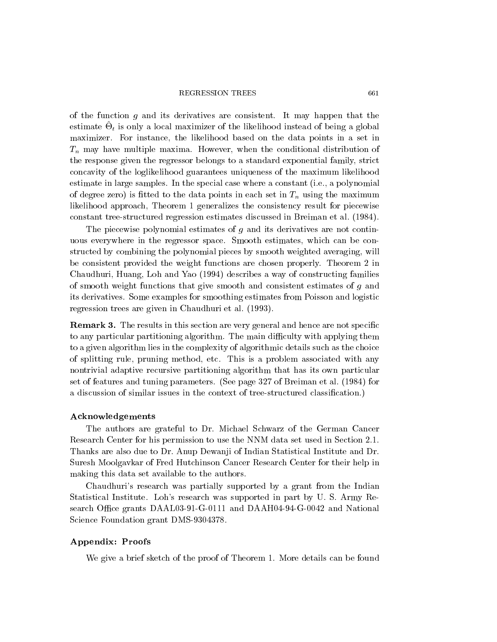#### REGRESSION TREES 661

of the function  $g$  and its derivatives are consistent. It may happen that the  $\epsilon$ stimate  $\sigma_t$  is only a local maximizer of the fixelihood instead of being a global maximizer. For instance, the likelihood based on the data points in a set in  $T_n$  may have multiple maxima. However, when the conditional distribution of the response given the regressor belongs to a standard exponential family, strict concavity of the loglikelihood guarantees uniqueness of the maximum likelihood estimate in large samples. In the special case where a constant (i.e., a polynomial of degree zero) is fitted to the data points in each set in  $T_n$  using the maximum likelihood approach, Theorem 1 generalizes the consistency result for piecewise constant tree-structured regression estimates discussed in Breiman et al: (1984).

The piecewise polynomial estimates of g and its derivatives are not continuous everywhere in the regressor space. Smooth estimates, which can be constructed by combining the polynomial pieces by smooth weighted averaging, will be consistent provided the weight functions are chosen properly. Theorem 2 in Chaudhuri, Huang, Loh and Yao (1994) describes a way of constructing families of smooth weight functions that give smooth and consistent estimates of g and its derivatives. Some examples for smoothing estimates from Poisson and logistic regression trees are given in Chaudhuri et al: (1993).

**Remark 3.** The results in this section are very general and hence are not specific to any particular partitioning algorithm. The main difficulty with applying them to a given algorithm lies in the complexity of algorithmic details such as the choice of splitting rule, pruning method, etc. This is a problem associated with any nontrivial adaptive recursive partitioning algorithm that has its own particular set of features and tuning parameters. (See page 327 of Breiman et al: (1984) for a discussion of similar issues in the context of tree-structured classication.)

#### Acknowledgements

The authors are grateful to Dr. Michael Schwarz of the German Cancer Research Center for his permission to use the NNM data set used in Section 2.1. Thanks are also due to Dr. Anup Dewanji of Indian Statistical Institute and Dr. Suresh Moolgavkar of Fred Hutchinson Cancer Research Center for their help in making this data set available to the authors.

Chaudhuri's research was partially supported by a grant from the Indian Statistical Institute. Loh's research was supported in part by U. S. Army Research Office grants DAAL03-91-G-0111 and DAAH04-94-G-0042 and National Science Foundation grant DMS-9304378.

## Appendix: Proofs

We give a brief sketch of the proof of Theorem 1. More details can be found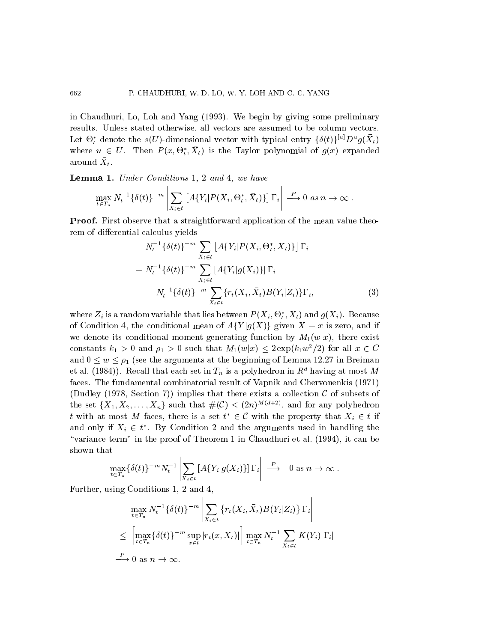in Chaudhuri, Lo, Loh and Yang (1993). We begin by giving some preliminary results. Unless stated otherwise, all vectors are assumed to be column vectors. Let  $\Theta_t^*$  denote the s(U)-dimensional vector with typical entry  $\{\delta(t)\}^{\{u\}}D^ug(X_t)$ where  $u \in U$ . Then  $P(x, \Theta_t^*, X_t)$  is the Taylor polynomial of  $g(x)$  expanded around  $\bar{X}_t$ .  $\mathbf{t}$  . The set of  $\mathbf{t}$ 

Lemma 1. Under Conditions 1, 2 and 4, we have

and the contract of the contract of the contract of the contract of the contract of the contract of the contract of the contract of the contract of the contract of the contract of the contract of the contract of the contra

$$
\max_{t \in T_n} N_t^{-1} \{ \delta(t) \}^{-m} \left| \sum_{X_i \in t} \left[ A \{ Y_i | P(X_i, \Theta_t^*, \bar{X}_t) \} \right] \Gamma_i \right| \stackrel{P}{\longrightarrow} 0 \text{ as } n \to \infty.
$$

Proof. First observe that a straightforward application of the mean value theorem of differential calculus yields

$$
N_t^{-1}\{\delta(t)\}^{-m} \sum_{X_i \in t} [A\{Y_i | P(X_i, \Theta_t^*, \bar{X}_t)\}] \Gamma_i
$$
  
=  $N_t^{-1}\{\delta(t)\}^{-m} \sum_{X_i \in t} [A\{Y_i | g(X_i)\}] \Gamma_i$   
 $- N_t^{-1}\{\delta(t)\}^{-m} \sum_{X_i \in t} \{r_t(X_i, \bar{X}_t) B(Y_i | Z_i)\} \Gamma_i,$  (3)

and the contract of the contract of the contract of the contract of the contract of the contract of the contract of the contract of the contract of the contract of the contract of the contract of the contract of the contra

where  $Z_i$  is a random variable that hes between  $P(\bar{A}_i, \bar{\mathbf{U}}_i, \bar{A}_t)$  and  $g(\bar{A}_i)$ . Decause of Condition 4, the conditional mean of  $A{Y|g(X)}$  given  $X = x$  is zero, and if we denote its conditional moment generating function by  $M_1(w|x)$ , there exist constants  $k_1 > 0$  and  $\rho_1 > 0$  such that  $M_1(w|x) \leq 2 \exp(k_1 w^2/2)$  for all  $x \in C$ and  $0 \leq w \leq \rho_1$  (see the arguments at the beginning of Lemma 12.27 in Breiman et al. (1984)). Recall that each set in  $T_n$  is a polyhedron in  $R^d$  having at most M faces. The fundamental combinatorial result of Vapnik and Chervonenkis (1971) (Dudley (1978, Section 7)) implies that there exists a collection  $\mathcal C$  of subsets of the set  $\{X_1, X_2, \ldots, X_n\}$  such that  $\#(\mathcal{C}) \leq (2n)^{M(d+2)}$ , and for any polyhedron t with at most M faces, there is a set  $t^* \in \mathcal{C}$  with the property that  $X_i \in t$  if and only if  $X_i \in t^*$ . By Condition 2 and the arguments used in handling the "variance term" in the proof of Theorem 1 in Chaudhuri et al.  $(1994)$ , it can be shown that

$$
\max_{t \in T_n} \{ \delta(t) \}^{-m} N_t^{-1} \left| \sum_{X_i \in t} \left[ A \{ Y_i | g(X_i) \} \right] \Gamma_i \right| \stackrel{P}{\longrightarrow} 0 \text{ as } n \to \infty.
$$

Further, using Conditions 1, 2 and 4,

$$
\max_{t \in T_n} N_t^{-1} \{ \delta(t) \}^{-m} \left| \sum_{X_i \in t} \{ r_t(X_i, \bar{X}_t) B(Y_i | Z_i) \} \Gamma_i \right|
$$
  

$$
\leq \left[ \max_{t \in T_n} \{ \delta(t) \}^{-m} \sup_{x \in t} |r_t(x, \bar{X}_t)| \right] \max_{t \in T_n} N_t^{-1} \sum_{X_i \in t} K(Y_i) |\Gamma_i|
$$
  

$$
\xrightarrow{P} 0 \text{ as } n \to \infty.
$$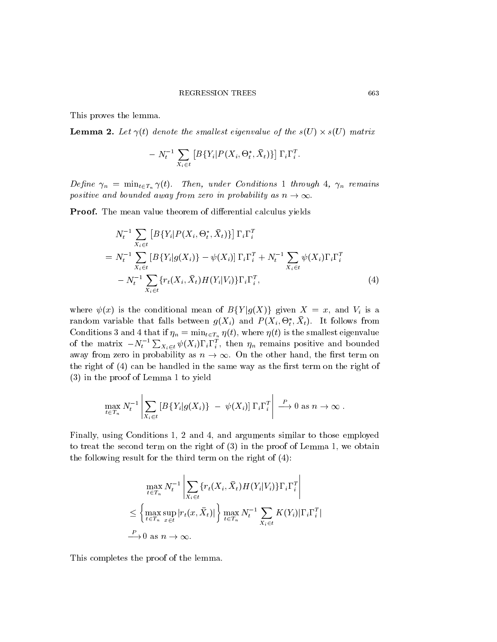This proves the lemma.

**Lemma 2.** Let  $\gamma(t)$  denote the smallest eigenvalue of the  $s(U) \times s(U)$  matrix

$$
-N_t^{-1}\sum_{X_i\in t}\left[B\{Y_i|P(X_i,\Theta_t^*,\bar{X}_t)\}\right]\Gamma_i\Gamma_i^T.
$$

Define  $\gamma_n = \min_{t \in T_n} \gamma(t)$ . Then, under Conditions 1 through 4,  $\gamma_n$  remains positive and bounded away from zero in probability as  $n \to \infty$ .

**Proof.** The mean value theorem of differential calculus yields

$$
N_t^{-1} \sum_{X_i \in t} [B\{Y_i | P(X_i, \Theta_t^*, \bar{X}_t)\}] \Gamma_i \Gamma_i^T
$$
  
=  $N_t^{-1} \sum_{X_i \in t} [B\{Y_i | g(X_i)\} - \psi(X_i)] \Gamma_i \Gamma_i^T + N_t^{-1} \sum_{X_i \in t} \psi(X_i) \Gamma_i \Gamma_i^T$   
-  $N_t^{-1} \sum_{X_i \in t} \{r_t(X_i, \bar{X}_t) H(Y_i | V_i)\} \Gamma_i \Gamma_i^T,$  (4)

where  $\psi(x)$  is the conditional mean of  $B\{Y|g(X)\}\$  given  $X = x$ , and  $V_i$  is a random variable that falls between  $g(\Lambda_i)$  and  $F(\Lambda_i, \Theta_t, \Lambda_t)$ . It follows from Conditions 3 and 4 that if  $\eta_n = \min_{t \in T_n} \eta(t)$ , where  $\eta(t)$  is the smallest eigenvalue of the matrix  $-N_t^{-1} \sum_{X_i \in t} \psi(X_i) \Gamma_i \Gamma_i^T$ , then  $\eta_n$  remains positive and bounded away from zero in probability as  $n \to \infty$ . On the other hand, the first term on the right of  $(4)$  can be handled in the same way as the first term on the right of (3) in the proof of Lemma 1 to yield

$$
\max_{t \in T_n} N_t^{-1} \left| \sum_{X_i \in t} \left[ B\{Y_i | g(X_i)\} \ - \ \psi(X_i) \right] \Gamma_i \Gamma_i^T \right| \stackrel{P}{\longrightarrow} 0 \text{ as } n \to \infty.
$$

Finally, using Conditions 1, 2 and 4, and arguments similar to those employed to treat the second term on the right of (3) in the proof of Lemma 1, we obtain the following result for the third term on the right of (4):

$$
\max_{t \in T_n} N_t^{-1} \left| \sum_{X_i \in t} \{r_t(X_i, \bar{X}_t) H(Y_i | Y_i)\} \Gamma_i \Gamma_i^T \right|
$$
  

$$
\leq \left\{ \max_{t \in T_n} \sup_{x \in t} |r_t(x, \bar{X}_t)| \right\} \max_{t \in T_n} N_t^{-1} \sum_{X_i \in t} K(Y_i) |\Gamma_i \Gamma_i^T|
$$
  

$$
\xrightarrow{P} 0 \text{ as } n \to \infty.
$$

This completes the proof of the lemma.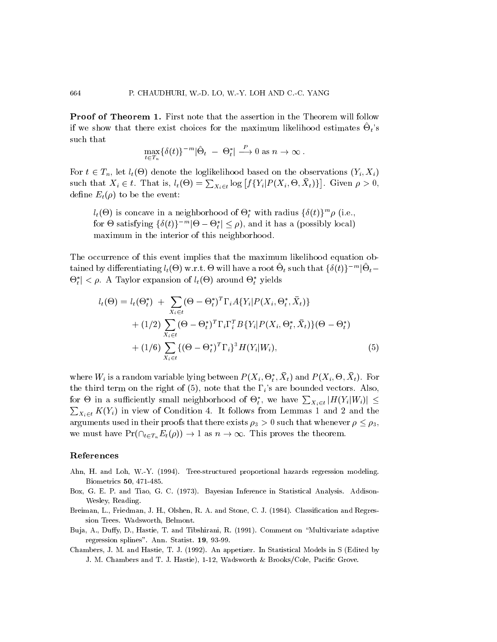**Proof of Theorem 1.** First note that the assertion in the Theorem will follow if we show that there exist choices for the maximum likelihood estimates  $\Theta_t$ 's such that

$$
\max_{t \in T_n} \{ \delta(t) \}^{-m} |\hat{\Theta}_t - \Theta_t^*| \stackrel{P}{\longrightarrow} 0 \text{ as } n \to \infty .
$$

For  $t \in T_n$ , let  $l_t(\Theta)$  denote the loglikelihood based on the observations  $(Y_i, X_i)$ such that  $X_i \in t$ . That is,  $l_t(\Theta) = \sum_{X_i \in t} \log [f\{Y_i | P(X_i, \Theta, X_t)\}]$ . Given . Given by a construction of  $\mathbf{0}$  ,  $\mathbf{0}$  ,  $\mathbf{0}$  ,  $\mathbf{0}$  ,  $\mathbf{0}$  ,  $\mathbf{0}$  ,  $\mathbf{0}$  ,  $\mathbf{0}$  ,  $\mathbf{0}$  ,  $\mathbf{0}$  ,  $\mathbf{0}$  ,  $\mathbf{0}$  ,  $\mathbf{0}$  ,  $\mathbf{0}$  ,  $\mathbf{0}$  ,  $\mathbf{0}$  ,  $\mathbf{0}$  ,  $\mathbf{$ define  $E_t(\rho)$  to be the event:

 $l_t(\Theta)$  is concave in a neighborhood of  $\Theta_t^*$  with radius  $\{\delta(t)\}^m\rho$  (i.e., for  $\Theta$  satisfying  $\{\delta(t)\}^{-m}|\Theta-\Theta_t^*| \leq \rho$ , and it has a (possibly local) the contract of the contract of the contract of the contract of the contract of the contract of the contract of maximum in the interior of this neighborhood.

The occurrence of this event implies that the maximum likelihood equation obtained by differentiating  $l_t(\Theta)$  w.r.t.  $\Theta$  will have a root  $\Theta_t$  such that  $\{\delta(t)\}^{-m}|\Theta_t \Theta_t^* \vert \lt \rho$ . A Taylor expansion of  $l_t(\Theta)$  around  $\Theta_t^*$  yields

$$
l_{t}(\Theta) = l_{t}(\Theta_{t}^{*}) + \sum_{X_{i} \in t} (\Theta - \Theta_{t}^{*})^{T} \Gamma_{i} A \{ Y_{i} | P(X_{i}, \Theta_{t}^{*}, \bar{X}_{t}) \} + (1/2) \sum_{X_{i} \in t} (\Theta - \Theta_{t}^{*})^{T} \Gamma_{i} \Gamma_{i}^{T} B \{ Y_{i} | P(X_{i}, \Theta_{t}^{*}, \bar{X}_{t}) \} (\Theta - \Theta_{t}^{*}) + (1/6) \sum_{X_{i} \in t} \{ (\Theta - \Theta_{t}^{*})^{T} \Gamma_{i} \}^{3} H(Y_{i} | W_{i}),
$$
(5)

where  $W_i$  is a random variable lying between  $P(X_i, \Theta_t, \Lambda_t)$  and  $P(X_i, \Theta, \Lambda_t)$ . For t the third term on the right of (5), note that the  $\Gamma_i$ 's are bounded vectors. Also, for  $\Theta$  in a sufficiently small neighborhood of  $\Theta_t^*$ , we have  $\sum_{X_i \in t} |H(Y_i|W_i)| \le$  $\sum_{X_i \in t} K(Y_i)$  in view of Condition 4. It follows from Lemmas 1 and 2 and the arguments used in their proofs that there exists  $\rho_3 > 0$  such that whenever  $\rho \leq \rho_3$ , we must have  $Pr(\bigcap_{t \in T_n} E_t(\rho)) \to 1$  as  $n \to \infty$ . This proves the theorem.

#### References

- Ahn, H. and Loh, W.-Y. (1994). Tree-structured proportional hazards regression modeling. Biometrics 50, 471-485.
- Box, G. E. P. and Tiao, G. C. (1973). Bayesian Inference in Statistical Analysis. Addison-Wesley, Reading.
- Breiman, L., Friedman, J. H., Olshen, R. A. and Stone, C. J. (1984). Classification and Regression Trees. Wadsworth, Belmont.
- Buja, A., Duffy, D., Hastie, T. and Tibshirani, R. (1991). Comment on "Multivariate adaptive regression splines". Ann. Statist. 19, 93-99.
- Chambers, J. M. and Hastie, T. J. (1992). An appetizer. In Statistical Models in S (Edited by J. M. Chambers and T. J. Hastie), 1-12, Wadsworth & Brooks/Cole, Pacific Grove.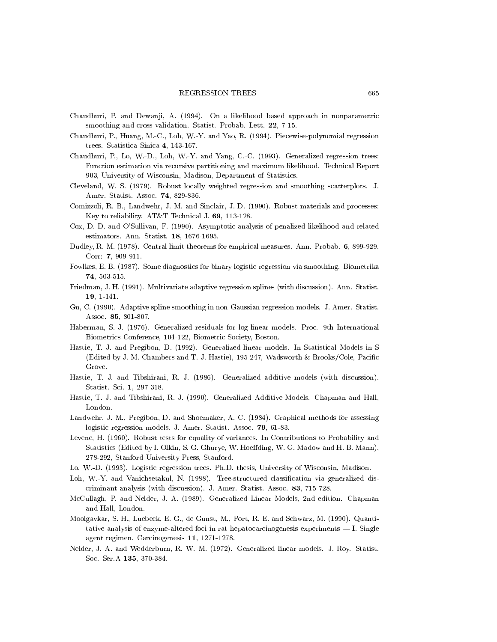- Chaudhuri, P. and Dewanji, A. (1994). On a likelihood based approach in nonparametric smoothing and cross-validation. Statist. Probab. Lett. 22, 7-15.
- Chaudhuri, P., Huang, M.-C., Loh, W.-Y. and Yao, R. (1994). Piecewise-polynomial regression trees. Statistica Sinica 4, 143-167.
- Chaudhuri, P., Lo, W.-D., Loh, W.-Y. and Yang, C.-C. (1993). Generalized regression trees: Function estimation via recursive partitioning and maximum likelihood. Technical Report 903, University of Wisconsin, Madison, Department of Statistics.
- Cleveland, W. S. (1979). Robust locally weighted regression and smoothing scatterplots. J. Amer. Statist. Assoc. 74, 829-836.
- Comizzoli, R. B., Landwehr, J. M. and Sinclair, J. D. (1990). Robust materials and processes: Key to reliability. AT&T Technical J. 69, 113-128.
- Cox, D. D. and O'Sullivan, F. (1990). Asymptotic analysis of penalized likelihood and related estimators. Ann. Statist. 18, 1676-1695.
- Dudley, R. M. (1978). Central limit theorems for empirical measures. Ann. Probab. 6, 899-929. Corr: 7, 909-911.
- Fowlkes, E. B. (1987). Some diagnostics for binary logistic regression via smoothing. Biometrika 74, 503-515.
- Friedman, J. H. (1991). Multivariate adaptive regression splines (with discussion). Ann. Statist. 19, 1-141.
- Gu, C. (1990). Adaptive spline smoothing in non-Gaussian regression models. J. Amer. Statist. Assoc. 85, 801-807.
- Haberman, S. J. (1976). Generalized residuals for log-linear models. Proc. 9th International Biometrics Conference, 104-122, Biometric Society, Boston.
- Hastie, T. J. and Pregibon, D. (1992). Generalized linear models. In Statistical Models in S (Edited by J. M. Chambers and T. J. Hastie), 195-247, Wadsworth & Brooks/Cole, Pacic Grove.
- Hastie, T. J. and Tibshirani, R. J. (1986). Generalized additive models (with discussion). Statist. Sci. 1, 297-318.
- Hastie, T. J. and Tibshirani, R. J. (1990). Generalized Additive Models. Chapman and Hall, London.
- Landwehr, J. M., Pregibon, D. and Shoemaker, A. C. (1984). Graphical methods for assessing logistic regression models. J. Amer. Statist. Assoc. 79, 61-83.
- Levene, H. (1960). Robust tests for equality of variances. In Contributions to Probability and Statistics (Edited by I. Olkin, S. G. Ghurye, W. Hoeding, W. G. Madow and H. B. Mann), 278-292, Stanford University Press, Stanford.
- Lo, W.-D. (1993). Logistic regression trees. Ph.D: thesis, University of Wisconsin, Madison.
- Loh, W.-Y. and Vanichsetakul, N. (1988). Tree-structured classification via generalized discriminant analysis (with discussion). J. Amer. Statist. Assoc. 83, 715-728.
- McCullagh, P. and Nelder, J. A. (1989). Generalized Linear Models, 2nd edition. Chapman and Hall, London.
- Moolgavkar, S. H., Luebeck, E. G., de Gunst, M., Port, R. E. and Schwarz, M. (1990). Quantitative analysis of enzyme-altered foci in rat hepatocarcinogenesis experiments  $-$  I. Single agent regimen. Carcinogenesis 11, 1271-1278.
- Nelder, J. A. and Wedderburn, R. W. M. (1972). Generalized linear models. J. Roy. Statist. Soc. Ser.A 135, 370-384.